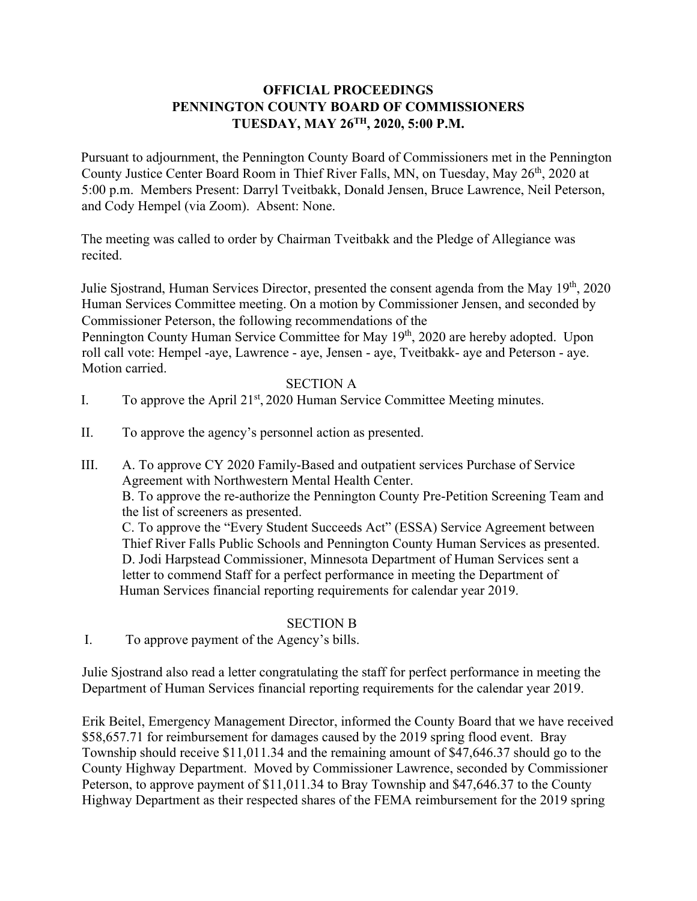# **OFFICIAL PROCEEDINGS PENNINGTON COUNTY BOARD OF COMMISSIONERS TUESDAY, MAY 26TH, 2020, 5:00 P.M.**

Pursuant to adjournment, the Pennington County Board of Commissioners met in the Pennington County Justice Center Board Room in Thief River Falls, MN, on Tuesday, May 26<sup>th</sup>, 2020 at 5:00 p.m. Members Present: Darryl Tveitbakk, Donald Jensen, Bruce Lawrence, Neil Peterson, and Cody Hempel (via Zoom). Absent: None.

The meeting was called to order by Chairman Tveitbakk and the Pledge of Allegiance was recited.

Julie Sjostrand, Human Services Director, presented the consent agenda from the May 19<sup>th</sup>, 2020 Human Services Committee meeting. On a motion by Commissioner Jensen, and seconded by Commissioner Peterson, the following recommendations of the

Pennington County Human Service Committee for May 19<sup>th</sup>, 2020 are hereby adopted. Upon roll call vote: Hempel -aye, Lawrence - aye, Jensen - aye, Tveitbakk- aye and Peterson - aye. Motion carried.

### SECTION A

- I. To approve the April  $21<sup>st</sup>$ , 2020 Human Service Committee Meeting minutes.
- II. To approve the agency's personnel action as presented.
- III. A. To approve CY 2020 Family-Based and outpatient services Purchase of Service Agreement with Northwestern Mental Health Center. B. To approve the re-authorize the Pennington County Pre-Petition Screening Team and the list of screeners as presented. C. To approve the "Every Student Succeeds Act" (ESSA) Service Agreement between

Thief River Falls Public Schools and Pennington County Human Services as presented. D. Jodi Harpstead Commissioner, Minnesota Department of Human Services sent a letter to commend Staff for a perfect performance in meeting the Department of Human Services financial reporting requirements for calendar year 2019.

### SECTION B

I. To approve payment of the Agency's bills.

Julie Sjostrand also read a letter congratulating the staff for perfect performance in meeting the Department of Human Services financial reporting requirements for the calendar year 2019.

Erik Beitel, Emergency Management Director, informed the County Board that we have received \$58,657.71 for reimbursement for damages caused by the 2019 spring flood event. Bray Township should receive \$11,011.34 and the remaining amount of \$47,646.37 should go to the County Highway Department. Moved by Commissioner Lawrence, seconded by Commissioner Peterson, to approve payment of \$11,011.34 to Bray Township and \$47,646.37 to the County Highway Department as their respected shares of the FEMA reimbursement for the 2019 spring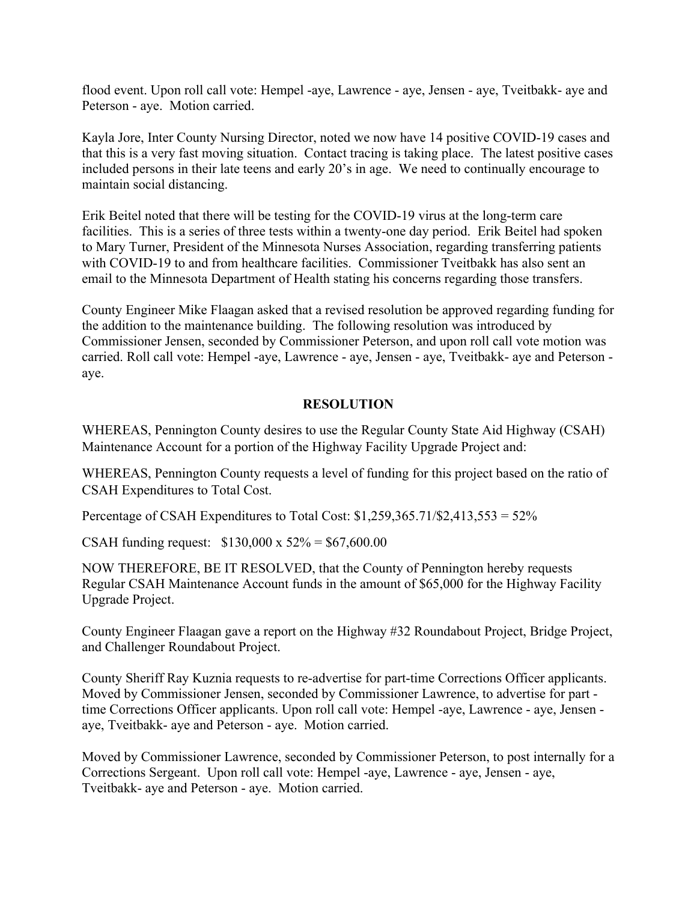flood event. Upon roll call vote: Hempel -aye, Lawrence - aye, Jensen - aye, Tveitbakk- aye and Peterson - aye. Motion carried.

Kayla Jore, Inter County Nursing Director, noted we now have 14 positive COVID-19 cases and that this is a very fast moving situation. Contact tracing is taking place. The latest positive cases included persons in their late teens and early 20's in age. We need to continually encourage to maintain social distancing.

Erik Beitel noted that there will be testing for the COVID-19 virus at the long-term care facilities. This is a series of three tests within a twenty-one day period. Erik Beitel had spoken to Mary Turner, President of the Minnesota Nurses Association, regarding transferring patients with COVID-19 to and from healthcare facilities. Commissioner Tveitbakk has also sent an email to the Minnesota Department of Health stating his concerns regarding those transfers.

County Engineer Mike Flaagan asked that a revised resolution be approved regarding funding for the addition to the maintenance building. The following resolution was introduced by Commissioner Jensen, seconded by Commissioner Peterson, and upon roll call vote motion was carried. Roll call vote: Hempel -aye, Lawrence - aye, Jensen - aye, Tveitbakk- aye and Peterson aye.

# **RESOLUTION**

WHEREAS, Pennington County desires to use the Regular County State Aid Highway (CSAH) Maintenance Account for a portion of the Highway Facility Upgrade Project and:

WHEREAS, Pennington County requests a level of funding for this project based on the ratio of CSAH Expenditures to Total Cost.

Percentage of CSAH Expenditures to Total Cost: \$1,259,365.71/\$2,413,553 = 52%

CSAH funding request: \$130,000 x 52% = \$67,600.00

NOW THEREFORE, BE IT RESOLVED, that the County of Pennington hereby requests Regular CSAH Maintenance Account funds in the amount of \$65,000 for the Highway Facility Upgrade Project.

County Engineer Flaagan gave a report on the Highway #32 Roundabout Project, Bridge Project, and Challenger Roundabout Project.

County Sheriff Ray Kuznia requests to re-advertise for part-time Corrections Officer applicants. Moved by Commissioner Jensen, seconded by Commissioner Lawrence, to advertise for part time Corrections Officer applicants. Upon roll call vote: Hempel -aye, Lawrence - aye, Jensen aye, Tveitbakk- aye and Peterson - aye. Motion carried.

Moved by Commissioner Lawrence, seconded by Commissioner Peterson, to post internally for a Corrections Sergeant. Upon roll call vote: Hempel -aye, Lawrence - aye, Jensen - aye, Tveitbakk- aye and Peterson - aye. Motion carried.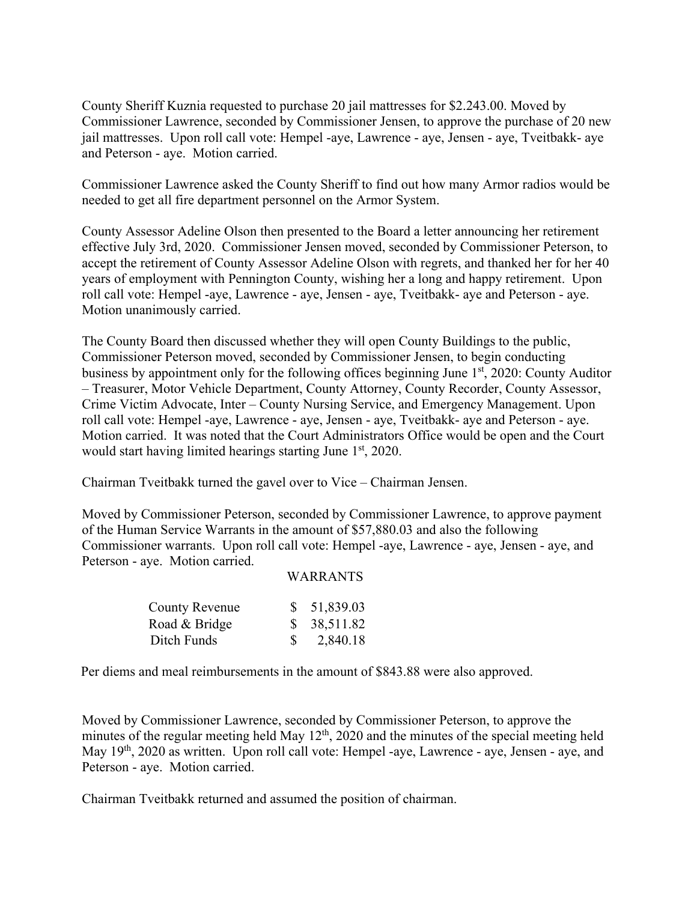County Sheriff Kuznia requested to purchase 20 jail mattresses for \$2.243.00. Moved by Commissioner Lawrence, seconded by Commissioner Jensen, to approve the purchase of 20 new jail mattresses. Upon roll call vote: Hempel -aye, Lawrence - aye, Jensen - aye, Tveitbakk- aye and Peterson - aye. Motion carried.

Commissioner Lawrence asked the County Sheriff to find out how many Armor radios would be needed to get all fire department personnel on the Armor System.

County Assessor Adeline Olson then presented to the Board a letter announcing her retirement effective July 3rd, 2020. Commissioner Jensen moved, seconded by Commissioner Peterson, to accept the retirement of County Assessor Adeline Olson with regrets, and thanked her for her 40 years of employment with Pennington County, wishing her a long and happy retirement. Upon roll call vote: Hempel -aye, Lawrence - aye, Jensen - aye, Tveitbakk- aye and Peterson - aye. Motion unanimously carried.

The County Board then discussed whether they will open County Buildings to the public, Commissioner Peterson moved, seconded by Commissioner Jensen, to begin conducting business by appointment only for the following offices beginning June 1<sup>st</sup>, 2020: County Auditor – Treasurer, Motor Vehicle Department, County Attorney, County Recorder, County Assessor, Crime Victim Advocate, Inter – County Nursing Service, and Emergency Management. Upon roll call vote: Hempel -aye, Lawrence - aye, Jensen - aye, Tveitbakk- aye and Peterson - aye. Motion carried. It was noted that the Court Administrators Office would be open and the Court would start having limited hearings starting June 1<sup>st</sup>, 2020.

Chairman Tveitbakk turned the gavel over to Vice – Chairman Jensen.

Moved by Commissioner Peterson, seconded by Commissioner Lawrence, to approve payment of the Human Service Warrants in the amount of \$57,880.03 and also the following Commissioner warrants. Upon roll call vote: Hempel -aye, Lawrence - aye, Jensen - aye, and Peterson - aye. Motion carried.

#### WARRANTS

| <b>County Revenue</b> | \$51,839.03 |
|-----------------------|-------------|
| Road & Bridge         | \$38,511.82 |
| Ditch Funds           | 2,840.18    |

Per diems and meal reimbursements in the amount of \$843.88 were also approved.

Moved by Commissioner Lawrence, seconded by Commissioner Peterson, to approve the minutes of the regular meeting held May  $12<sup>th</sup>$ , 2020 and the minutes of the special meeting held May 19<sup>th</sup>, 2020 as written. Upon roll call vote: Hempel -aye, Lawrence - aye, Jensen - aye, and Peterson - aye. Motion carried.

Chairman Tveitbakk returned and assumed the position of chairman.